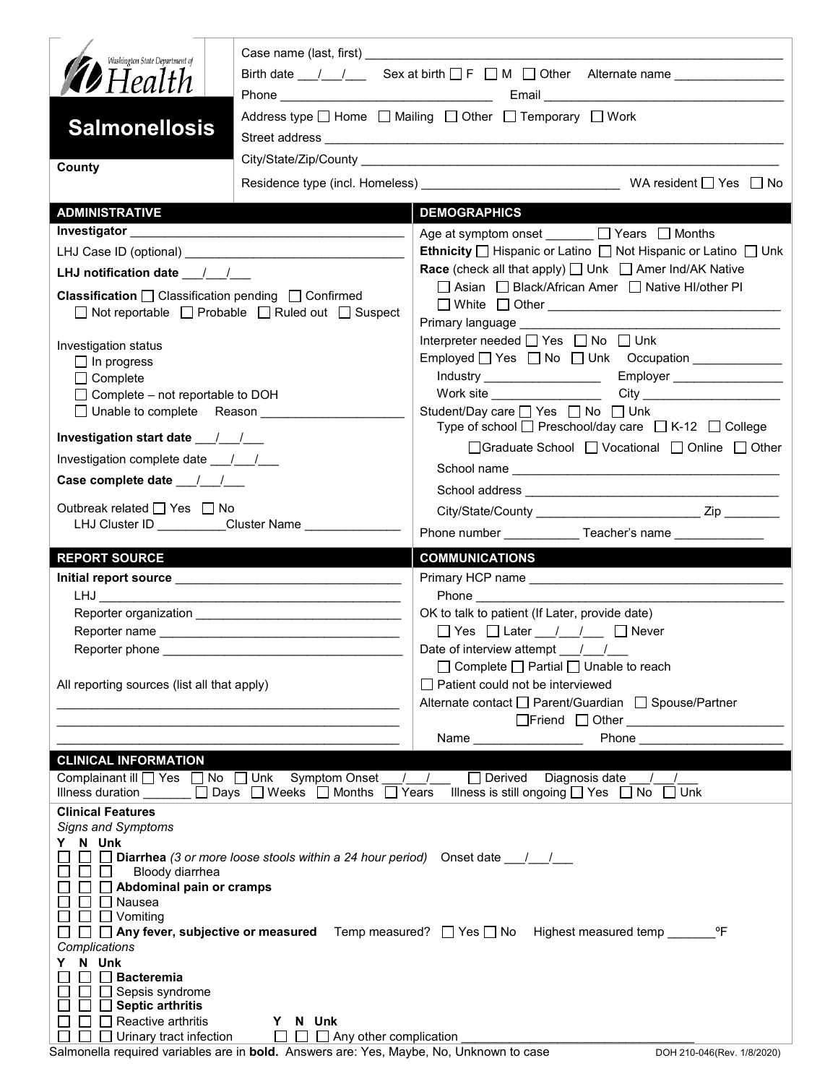| Washington State Department of<br><b>D</b> Health                                                                         | Birth date $1 \quad 1 \quad$ Sex at birth $\Box$ F $\Box$ M $\Box$ Other Alternate name<br>Address type $\Box$ Home $\Box$ Mailing $\Box$ Other $\Box$ Temporary $\Box$ Work |                                                                                                                                                                                                                                                        |  |  |  |  |
|---------------------------------------------------------------------------------------------------------------------------|------------------------------------------------------------------------------------------------------------------------------------------------------------------------------|--------------------------------------------------------------------------------------------------------------------------------------------------------------------------------------------------------------------------------------------------------|--|--|--|--|
| <b>Salmonellosis</b>                                                                                                      |                                                                                                                                                                              |                                                                                                                                                                                                                                                        |  |  |  |  |
| County                                                                                                                    |                                                                                                                                                                              |                                                                                                                                                                                                                                                        |  |  |  |  |
|                                                                                                                           |                                                                                                                                                                              |                                                                                                                                                                                                                                                        |  |  |  |  |
| <b>ADMINISTRATIVE</b>                                                                                                     |                                                                                                                                                                              | <b>DEMOGRAPHICS</b>                                                                                                                                                                                                                                    |  |  |  |  |
|                                                                                                                           |                                                                                                                                                                              | Age at symptom onset ______ □ Years □ Months                                                                                                                                                                                                           |  |  |  |  |
|                                                                                                                           |                                                                                                                                                                              | Ethnicity   Hispanic or Latino   Not Hispanic or Latino   Unk                                                                                                                                                                                          |  |  |  |  |
| LHJ notification date $\frac{1}{\sqrt{1-\frac{1}{2}}}$                                                                    |                                                                                                                                                                              | <b>Race</b> (check all that apply) $\Box$ Unk $\Box$ Amer Ind/AK Native                                                                                                                                                                                |  |  |  |  |
| <b>Classification</b> $\Box$ Classification pending $\Box$ Confirmed<br>□ Not reportable □ Probable □ Ruled out □ Suspect |                                                                                                                                                                              | □ Asian □ Black/African Amer □ Native HI/other PI                                                                                                                                                                                                      |  |  |  |  |
|                                                                                                                           |                                                                                                                                                                              |                                                                                                                                                                                                                                                        |  |  |  |  |
| Investigation status                                                                                                      |                                                                                                                                                                              | Interpreter needed $\Box$ Yes $\Box$ No $\Box$ Unk                                                                                                                                                                                                     |  |  |  |  |
| $\Box$ In progress                                                                                                        |                                                                                                                                                                              |                                                                                                                                                                                                                                                        |  |  |  |  |
| $\Box$ Complete                                                                                                           |                                                                                                                                                                              |                                                                                                                                                                                                                                                        |  |  |  |  |
| $\Box$ Complete – not reportable to DOH<br>□ Unable to complete Reason ___________                                        |                                                                                                                                                                              | Student/Day care □ Yes □ No □ Unk                                                                                                                                                                                                                      |  |  |  |  |
|                                                                                                                           |                                                                                                                                                                              | Type of school $\Box$ Preschool/day care $\Box$ K-12 $\Box$ College                                                                                                                                                                                    |  |  |  |  |
| Investigation complete date ___/___/___                                                                                   |                                                                                                                                                                              | □Graduate School □ Vocational □ Online □ Other                                                                                                                                                                                                         |  |  |  |  |
| Case complete date __/__/__                                                                                               |                                                                                                                                                                              |                                                                                                                                                                                                                                                        |  |  |  |  |
|                                                                                                                           |                                                                                                                                                                              |                                                                                                                                                                                                                                                        |  |  |  |  |
| Outbreak related □ Yes □ No                                                                                               | LHJ Cluster ID _________Cluster Name ______________                                                                                                                          |                                                                                                                                                                                                                                                        |  |  |  |  |
|                                                                                                                           |                                                                                                                                                                              | Phone number _______________Teacher's name ________________                                                                                                                                                                                            |  |  |  |  |
|                                                                                                                           |                                                                                                                                                                              |                                                                                                                                                                                                                                                        |  |  |  |  |
| <b>REPORT SOURCE</b>                                                                                                      |                                                                                                                                                                              | <b>COMMUNICATIONS</b>                                                                                                                                                                                                                                  |  |  |  |  |
|                                                                                                                           |                                                                                                                                                                              |                                                                                                                                                                                                                                                        |  |  |  |  |
|                                                                                                                           |                                                                                                                                                                              | <b>Phone Contract Contract Contract Contract Contract Contract Contract Contract Contract Contract Contract Contract Contract Contract Contract Contract Contract Contract Contract Contract Contract Contract Contract Contra</b>                     |  |  |  |  |
|                                                                                                                           |                                                                                                                                                                              | OK to talk to patient (If Later, provide date)                                                                                                                                                                                                         |  |  |  |  |
|                                                                                                                           |                                                                                                                                                                              | $\Box$ Yes $\Box$ Later $\Box$ / $\Box$ Never                                                                                                                                                                                                          |  |  |  |  |
| Reporter phone ________                                                                                                   |                                                                                                                                                                              | Date of interview attempt ___/___/___                                                                                                                                                                                                                  |  |  |  |  |
| All reporting sources (list all that apply)                                                                               |                                                                                                                                                                              | □ Complete □ Partial □ Unable to reach<br>Patient could not be interviewed                                                                                                                                                                             |  |  |  |  |
|                                                                                                                           |                                                                                                                                                                              | Alternate contact □ Parent/Guardian □ Spouse/Partner                                                                                                                                                                                                   |  |  |  |  |
|                                                                                                                           |                                                                                                                                                                              |                                                                                                                                                                                                                                                        |  |  |  |  |
|                                                                                                                           |                                                                                                                                                                              | <b>Phone Contract Contract Contract Contract Contract Contract Contract Contract Contract Contract Contract Contract Contract Contract Contract Contract Contract Contract Contract Contract Contract Contract Contract Contra</b><br>Name <b>Name</b> |  |  |  |  |
| <b>CLINICAL INFORMATION</b>                                                                                               |                                                                                                                                                                              |                                                                                                                                                                                                                                                        |  |  |  |  |
| Illness duration                                                                                                          | Complainant ill Ves no D Unk Symptom Onset    <br>□ Days □ Weeks □ Months □ Years                                                                                            | $\Box$ Derived Diagnosis date /<br>Illness is still ongoing $\Box$ Yes $\Box$ No $\Box$ Unk                                                                                                                                                            |  |  |  |  |
| <b>Clinical Features</b>                                                                                                  |                                                                                                                                                                              |                                                                                                                                                                                                                                                        |  |  |  |  |
| <b>Signs and Symptoms</b>                                                                                                 |                                                                                                                                                                              |                                                                                                                                                                                                                                                        |  |  |  |  |
| Y N Unk                                                                                                                   | <b>Diarrhea</b> (3 or more loose stools within a 24 hour period) Onset date $\frac{1}{2}$                                                                                    |                                                                                                                                                                                                                                                        |  |  |  |  |
| Bloody diarrhea<br>1 1 1 1                                                                                                |                                                                                                                                                                              |                                                                                                                                                                                                                                                        |  |  |  |  |
| $\Box$ Abdominal pain or cramps                                                                                           |                                                                                                                                                                              |                                                                                                                                                                                                                                                        |  |  |  |  |
| <b>□</b> Nausea<br>$\Box$ $\Box$ Vomiting                                                                                 |                                                                                                                                                                              |                                                                                                                                                                                                                                                        |  |  |  |  |
|                                                                                                                           |                                                                                                                                                                              | $\Box$ Any fever, subjective or measured Temp measured? $\Box$ Yes $\Box$ No Highest measured temp _____<br>°F                                                                                                                                         |  |  |  |  |
| Complications                                                                                                             |                                                                                                                                                                              |                                                                                                                                                                                                                                                        |  |  |  |  |
| N Unk<br>Y.<br><b>Bacteremia</b>                                                                                          |                                                                                                                                                                              |                                                                                                                                                                                                                                                        |  |  |  |  |
| Sepsis syndrome                                                                                                           |                                                                                                                                                                              |                                                                                                                                                                                                                                                        |  |  |  |  |
| <b>Septic arthritis</b><br>Reactive arthritis                                                                             | Y N Unk                                                                                                                                                                      |                                                                                                                                                                                                                                                        |  |  |  |  |

Salmonella required variables are in **bold.** Answers are: Yes, Maybe, No, Unknown to case DOH 210-046(Rev. 1/8/2020)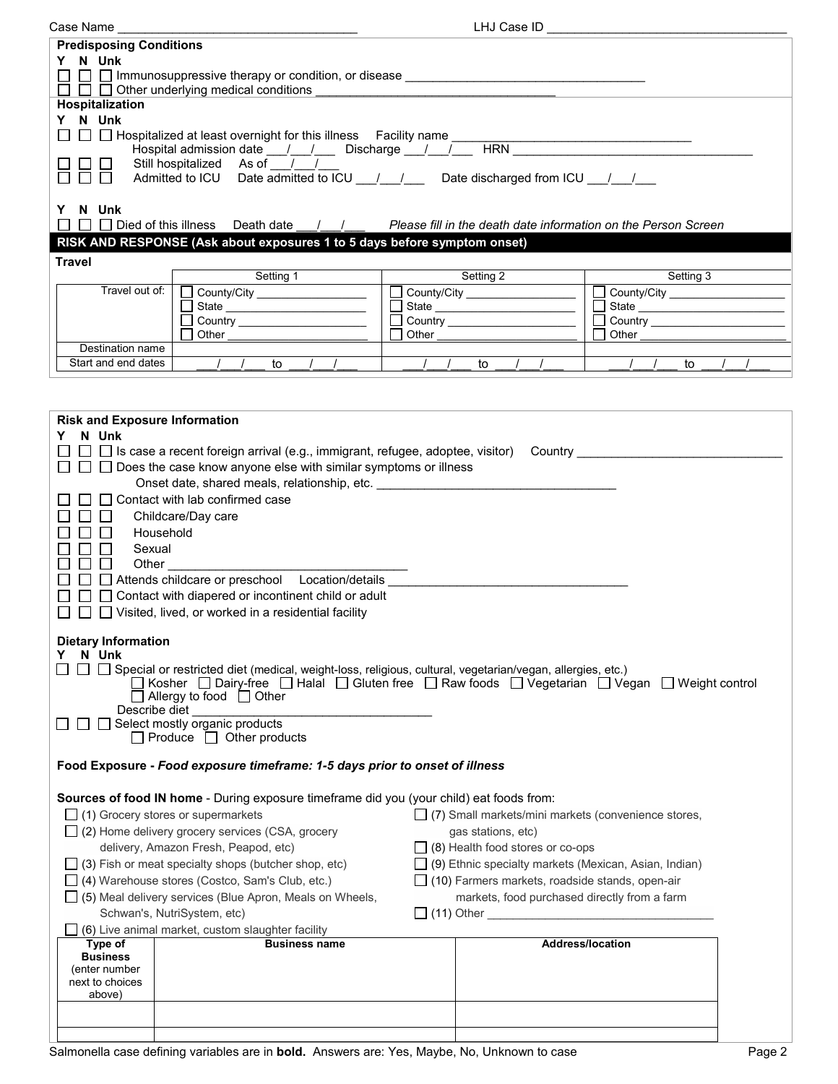| Case Name                                                                                                                                                                                                               | LHJ Case ID _                                                                                          |       |           |  |                                                       |        |
|-------------------------------------------------------------------------------------------------------------------------------------------------------------------------------------------------------------------------|--------------------------------------------------------------------------------------------------------|-------|-----------|--|-------------------------------------------------------|--------|
| <b>Predisposing Conditions</b>                                                                                                                                                                                          |                                                                                                        |       |           |  |                                                       |        |
| Y N Unk                                                                                                                                                                                                                 |                                                                                                        |       |           |  |                                                       |        |
|                                                                                                                                                                                                                         |                                                                                                        |       |           |  |                                                       |        |
|                                                                                                                                                                                                                         | $\Box$ $\Box$ Other underlying medical conditions                                                      |       |           |  |                                                       |        |
| <b>Hospitalization</b>                                                                                                                                                                                                  |                                                                                                        |       |           |  |                                                       |        |
| Y N Unk                                                                                                                                                                                                                 |                                                                                                        |       |           |  |                                                       |        |
|                                                                                                                                                                                                                         |                                                                                                        |       |           |  |                                                       |        |
|                                                                                                                                                                                                                         | Still hospitalized As of //                                                                            |       |           |  |                                                       |        |
|                                                                                                                                                                                                                         | Admitted to ICU Date admitted to ICU 1 1 2 Date discharged from ICU 1 1                                |       |           |  |                                                       |        |
|                                                                                                                                                                                                                         |                                                                                                        |       |           |  |                                                       |        |
| N Unk<br>Y.                                                                                                                                                                                                             |                                                                                                        |       |           |  |                                                       |        |
|                                                                                                                                                                                                                         | □ Died of this illness Death date / / / Please fill in the death date information on the Person Screen |       |           |  |                                                       |        |
|                                                                                                                                                                                                                         | RISK AND RESPONSE (Ask about exposures 1 to 5 days before symptom onset)                               |       |           |  |                                                       |        |
| <b>Travel</b>                                                                                                                                                                                                           |                                                                                                        |       |           |  |                                                       |        |
|                                                                                                                                                                                                                         | Setting 1                                                                                              |       | Setting 2 |  | Setting 3                                             |        |
| Travel out of:                                                                                                                                                                                                          | County/City                                                                                            |       |           |  | County/City ___________________                       |        |
|                                                                                                                                                                                                                         |                                                                                                        |       |           |  | $\Box$                                                |        |
|                                                                                                                                                                                                                         |                                                                                                        |       |           |  | П                                                     |        |
|                                                                                                                                                                                                                         | Other                                                                                                  | Other |           |  | Other                                                 |        |
| Destination name                                                                                                                                                                                                        |                                                                                                        |       |           |  |                                                       |        |
| Start and end dates                                                                                                                                                                                                     | to                                                                                                     |       | to        |  | to                                                    |        |
|                                                                                                                                                                                                                         |                                                                                                        |       |           |  |                                                       |        |
|                                                                                                                                                                                                                         |                                                                                                        |       |           |  |                                                       |        |
| <b>Risk and Exposure Information</b>                                                                                                                                                                                    |                                                                                                        |       |           |  |                                                       |        |
| Y N Unk                                                                                                                                                                                                                 |                                                                                                        |       |           |  |                                                       |        |
|                                                                                                                                                                                                                         | $\Box$ Is case a recent foreign arrival (e.g., immigrant, refugee, adoptee, visitor)                   |       |           |  | Country ______________________                        |        |
|                                                                                                                                                                                                                         | $\Box$ $\Box$ Does the case know anyone else with similar symptoms or illness                          |       |           |  |                                                       |        |
|                                                                                                                                                                                                                         | Onset date, shared meals, relationship, etc. ___________________________________                       |       |           |  |                                                       |        |
|                                                                                                                                                                                                                         | □ Contact with lab confirmed case                                                                      |       |           |  |                                                       |        |
| $\blacksquare$                                                                                                                                                                                                          | Childcare/Day care                                                                                     |       |           |  |                                                       |        |
| Household                                                                                                                                                                                                               |                                                                                                        |       |           |  |                                                       |        |
| Sexual                                                                                                                                                                                                                  |                                                                                                        |       |           |  |                                                       |        |
| $\mathsf{L}$<br>$\Box$                                                                                                                                                                                                  |                                                                                                        |       |           |  |                                                       |        |
| □ □ Attends childcare or preschool Location/details __________                                                                                                                                                          |                                                                                                        |       |           |  |                                                       |        |
| $\Box$ $\Box$ Contact with diapered or incontinent child or adult                                                                                                                                                       |                                                                                                        |       |           |  |                                                       |        |
| $\Box$ $\Box$ Visited, lived, or worked in a residential facility                                                                                                                                                       |                                                                                                        |       |           |  |                                                       |        |
|                                                                                                                                                                                                                         |                                                                                                        |       |           |  |                                                       |        |
| <b>Dietary Information</b>                                                                                                                                                                                              |                                                                                                        |       |           |  |                                                       |        |
| N Unk                                                                                                                                                                                                                   |                                                                                                        |       |           |  |                                                       |        |
| $\Box~\Box~$ Special or restricted diet (medical, weight-loss, religious, cultural, vegetarian/vegan, allergies, etc.)<br>コ Kosher ロ Dairy-free ロ Halal ロ Gluten free ロ Raw foods ロ Vegetarian ロ Vegan ロ Weight control |                                                                                                        |       |           |  |                                                       |        |
| $\Box$ Allergy to food $\Box$ Other                                                                                                                                                                                     |                                                                                                        |       |           |  |                                                       |        |
| Describe diet                                                                                                                                                                                                           |                                                                                                        |       |           |  |                                                       |        |
|                                                                                                                                                                                                                         | Select mostly organic products                                                                         |       |           |  |                                                       |        |
| $\Box$ Produce $\Box$ Other products                                                                                                                                                                                    |                                                                                                        |       |           |  |                                                       |        |
|                                                                                                                                                                                                                         |                                                                                                        |       |           |  |                                                       |        |
| Food Exposure - Food exposure timeframe: 1-5 days prior to onset of illness                                                                                                                                             |                                                                                                        |       |           |  |                                                       |        |
|                                                                                                                                                                                                                         | Sources of food IN home - During exposure timeframe did you (your child) eat foods from:               |       |           |  |                                                       |        |
| $\Box$ (1) Grocery stores or supermarkets                                                                                                                                                                               |                                                                                                        |       |           |  | □ (7) Small markets/mini markets (convenience stores, |        |
|                                                                                                                                                                                                                         |                                                                                                        |       |           |  |                                                       |        |
|                                                                                                                                                                                                                         | $\Box$ (2) Home delivery grocery services (CSA, grocery<br>gas stations, etc)                          |       |           |  |                                                       |        |
|                                                                                                                                                                                                                         | delivery, Amazon Fresh, Peapod, etc)<br>$\Box$ (8) Health food stores or co-ops                        |       |           |  |                                                       |        |
| $\Box$ (9) Ethnic specialty markets (Mexican, Asian, Indian)<br>$\Box$ (3) Fish or meat specialty shops (butcher shop, etc)                                                                                             |                                                                                                        |       |           |  |                                                       |        |
| □ (4) Warehouse stores (Costco, Sam's Club, etc.)<br>$\Box$ (10) Farmers markets, roadside stands, open-air                                                                                                             |                                                                                                        |       |           |  |                                                       |        |
| $\Box$ (5) Meal delivery services (Blue Apron, Meals on Wheels,<br>markets, food purchased directly from a farm<br>Schwan's, NutriSystem, etc)                                                                          |                                                                                                        |       |           |  |                                                       |        |
|                                                                                                                                                                                                                         |                                                                                                        |       |           |  |                                                       |        |
| Type of                                                                                                                                                                                                                 | (6) Live animal market, custom slaughter facility<br><b>Business name</b>                              |       |           |  | <b>Address/location</b>                               |        |
| <b>Business</b>                                                                                                                                                                                                         |                                                                                                        |       |           |  |                                                       |        |
| (enter number                                                                                                                                                                                                           |                                                                                                        |       |           |  |                                                       |        |
| next to choices                                                                                                                                                                                                         |                                                                                                        |       |           |  |                                                       |        |
| above)                                                                                                                                                                                                                  |                                                                                                        |       |           |  |                                                       |        |
|                                                                                                                                                                                                                         |                                                                                                        |       |           |  |                                                       |        |
|                                                                                                                                                                                                                         |                                                                                                        |       |           |  |                                                       |        |
|                                                                                                                                                                                                                         | Salmonella case defining variables are in bold. Answers are: Yes, Maybe, No, Unknown to case           |       |           |  |                                                       | Page 2 |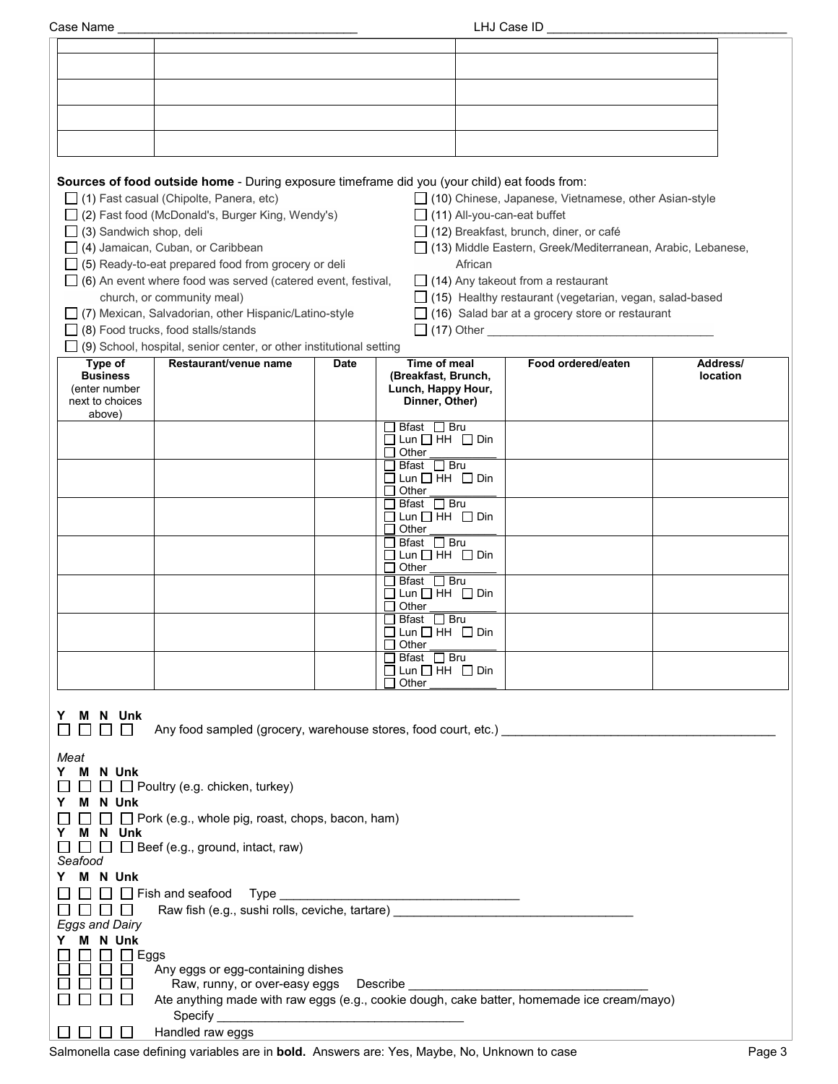| Case Name |
|-----------|
|           |

| Case Name                                                                                                                                                          |                                                                                                                                                                                                                                       |             |                                                                             | LHJ Case ID                                                                                                                                                               |                      |
|--------------------------------------------------------------------------------------------------------------------------------------------------------------------|---------------------------------------------------------------------------------------------------------------------------------------------------------------------------------------------------------------------------------------|-------------|-----------------------------------------------------------------------------|---------------------------------------------------------------------------------------------------------------------------------------------------------------------------|----------------------|
|                                                                                                                                                                    |                                                                                                                                                                                                                                       |             |                                                                             |                                                                                                                                                                           |                      |
|                                                                                                                                                                    |                                                                                                                                                                                                                                       |             |                                                                             |                                                                                                                                                                           |                      |
|                                                                                                                                                                    |                                                                                                                                                                                                                                       |             |                                                                             |                                                                                                                                                                           |                      |
|                                                                                                                                                                    |                                                                                                                                                                                                                                       |             |                                                                             |                                                                                                                                                                           |                      |
|                                                                                                                                                                    |                                                                                                                                                                                                                                       |             |                                                                             |                                                                                                                                                                           |                      |
|                                                                                                                                                                    |                                                                                                                                                                                                                                       |             |                                                                             |                                                                                                                                                                           |                      |
|                                                                                                                                                                    |                                                                                                                                                                                                                                       |             |                                                                             |                                                                                                                                                                           |                      |
| $\Box$ (3) Sandwich shop, deli                                                                                                                                     | Sources of food outside home - During exposure timeframe did you (your child) eat foods from:<br>□ (1) Fast casual (Chipolte, Panera, etc)<br>□ (2) Fast food (McDonald's, Burger King, Wendy's)<br>(4) Jamaican, Cuban, or Caribbean |             | $\Box$ (11) All-you-can-eat buffet                                          | □ (10) Chinese, Japanese, Vietnamese, other Asian-style<br>$\Box$ (12) Breakfast, brunch, diner, or café<br>□ (13) Middle Eastern, Greek/Mediterranean, Arabic, Lebanese, |                      |
|                                                                                                                                                                    | $\Box$ (5) Ready-to-eat prepared food from grocery or deli                                                                                                                                                                            |             | African                                                                     |                                                                                                                                                                           |                      |
|                                                                                                                                                                    | $\Box$ (6) An event where food was served (catered event, festival,                                                                                                                                                                   |             |                                                                             | $\Box$ (14) Any takeout from a restaurant                                                                                                                                 |                      |
|                                                                                                                                                                    | church, or community meal)                                                                                                                                                                                                            |             |                                                                             | $\Box$ (15) Healthy restaurant (vegetarian, vegan, salad-based                                                                                                            |                      |
|                                                                                                                                                                    | □ (7) Mexican, Salvadorian, other Hispanic/Latino-style                                                                                                                                                                               |             |                                                                             | $\Box$ (16) Salad bar at a grocery store or restaurant                                                                                                                    |                      |
|                                                                                                                                                                    | $\Box$ (8) Food trucks, food stalls/stands                                                                                                                                                                                            |             |                                                                             |                                                                                                                                                                           |                      |
|                                                                                                                                                                    | (9) School, hospital, senior center, or other institutional setting                                                                                                                                                                   |             |                                                                             |                                                                                                                                                                           |                      |
| Type of<br><b>Business</b><br>(enter number<br>next to choices                                                                                                     | Restaurant/venue name                                                                                                                                                                                                                 | <b>Date</b> | Time of meal<br>(Breakfast, Brunch,<br>Lunch, Happy Hour,<br>Dinner, Other) | Food ordered/eaten                                                                                                                                                        | Address/<br>location |
| above)                                                                                                                                                             |                                                                                                                                                                                                                                       |             | コ Bfast ロ Bru                                                               |                                                                                                                                                                           |                      |
|                                                                                                                                                                    |                                                                                                                                                                                                                                       |             | $\Box$ Lun $\Box$ HH $\Box$ Din                                             |                                                                                                                                                                           |                      |
|                                                                                                                                                                    |                                                                                                                                                                                                                                       |             | Other<br>$\mathsf{L}$<br>$\Box$ Bfast $\Box$ Bru                            |                                                                                                                                                                           |                      |
|                                                                                                                                                                    |                                                                                                                                                                                                                                       |             | $\Box$ Lun $\Box$ HH $\Box$ Din<br>$\Box$ Other                             |                                                                                                                                                                           |                      |
|                                                                                                                                                                    |                                                                                                                                                                                                                                       |             | $\Box$ Bfast $\Box$ Bru                                                     |                                                                                                                                                                           |                      |
|                                                                                                                                                                    |                                                                                                                                                                                                                                       |             | $\Box$ Lun $\Box$ HH $\Box$ Din<br>$\Box$ Other                             |                                                                                                                                                                           |                      |
|                                                                                                                                                                    |                                                                                                                                                                                                                                       |             | コ Bfast ロ Bru<br>$\Box$ Lun $\Box$ HH $\Box$ Din<br>$\Box$ Other            |                                                                                                                                                                           |                      |
|                                                                                                                                                                    |                                                                                                                                                                                                                                       |             | $\Box$ Bfast $\Box$ Bru<br>$\Box$ Lun $\Box$ HH $\Box$ Din<br>$\Box$ Other  |                                                                                                                                                                           |                      |
|                                                                                                                                                                    |                                                                                                                                                                                                                                       |             | $\Box$ Bfast $\Box$ Bru<br>$\Box$ Lun $\Box$ HH $\Box$ Din                  |                                                                                                                                                                           |                      |
|                                                                                                                                                                    |                                                                                                                                                                                                                                       |             | $\Box$ Other                                                                |                                                                                                                                                                           |                      |
|                                                                                                                                                                    |                                                                                                                                                                                                                                       |             | $\Box$ Bfast $\Box$ Bru                                                     |                                                                                                                                                                           |                      |
|                                                                                                                                                                    |                                                                                                                                                                                                                                       |             | $\Box$ Lun $\Box$ HH $\Box$ Din<br>$\Box$ Other                             |                                                                                                                                                                           |                      |
| M N Unk<br>Y<br>Any food sampled (grocery, warehouse stores, food court, etc.) __________________<br>$\perp$                                                       |                                                                                                                                                                                                                                       |             |                                                                             |                                                                                                                                                                           |                      |
| Meat<br>M N Unk<br>Y.<br>$\Box$ $\Box$ Poultry (e.g. chicken, turkey)<br>M N Unk<br>Y.<br>$\Box$ Pork (e.g., whole pig, roast, chops, bacon, ham)<br>Y.<br>M N Unk |                                                                                                                                                                                                                                       |             |                                                                             |                                                                                                                                                                           |                      |
| $\Box$ $\Box$ Beef (e.g., ground, intact, raw)<br>Seafood<br>M N Unk<br>Y.                                                                                         |                                                                                                                                                                                                                                       |             |                                                                             |                                                                                                                                                                           |                      |
| $\Box$ Fish and seafood Type                                                                                                                                       |                                                                                                                                                                                                                                       |             |                                                                             |                                                                                                                                                                           |                      |
| Raw fish (e.g., sushi rolls, ceviche, tartare) _________________________________<br>$\perp$<br>$\mathbf{I}$<br>$\perp$                                             |                                                                                                                                                                                                                                       |             |                                                                             |                                                                                                                                                                           |                      |
| <b>Eggs and Dairy</b>                                                                                                                                              |                                                                                                                                                                                                                                       |             |                                                                             |                                                                                                                                                                           |                      |
| M N Unk<br>Y.                                                                                                                                                      |                                                                                                                                                                                                                                       |             |                                                                             |                                                                                                                                                                           |                      |
| $\Box$ Eggs<br>$\Box$                                                                                                                                              | Any eggs or egg-containing dishes                                                                                                                                                                                                     |             |                                                                             |                                                                                                                                                                           |                      |
| Raw, runny, or over-easy eggs  Describe                                                                                                                            |                                                                                                                                                                                                                                       |             |                                                                             |                                                                                                                                                                           |                      |
|                                                                                                                                                                    | Ate anything made with raw eggs (e.g., cookie dough, cake batter, homemade ice cream/mayo)                                                                                                                                            |             |                                                                             |                                                                                                                                                                           |                      |
|                                                                                                                                                                    |                                                                                                                                                                                                                                       |             |                                                                             |                                                                                                                                                                           |                      |
|                                                                                                                                                                    | Handled raw eggs                                                                                                                                                                                                                      |             |                                                                             |                                                                                                                                                                           |                      |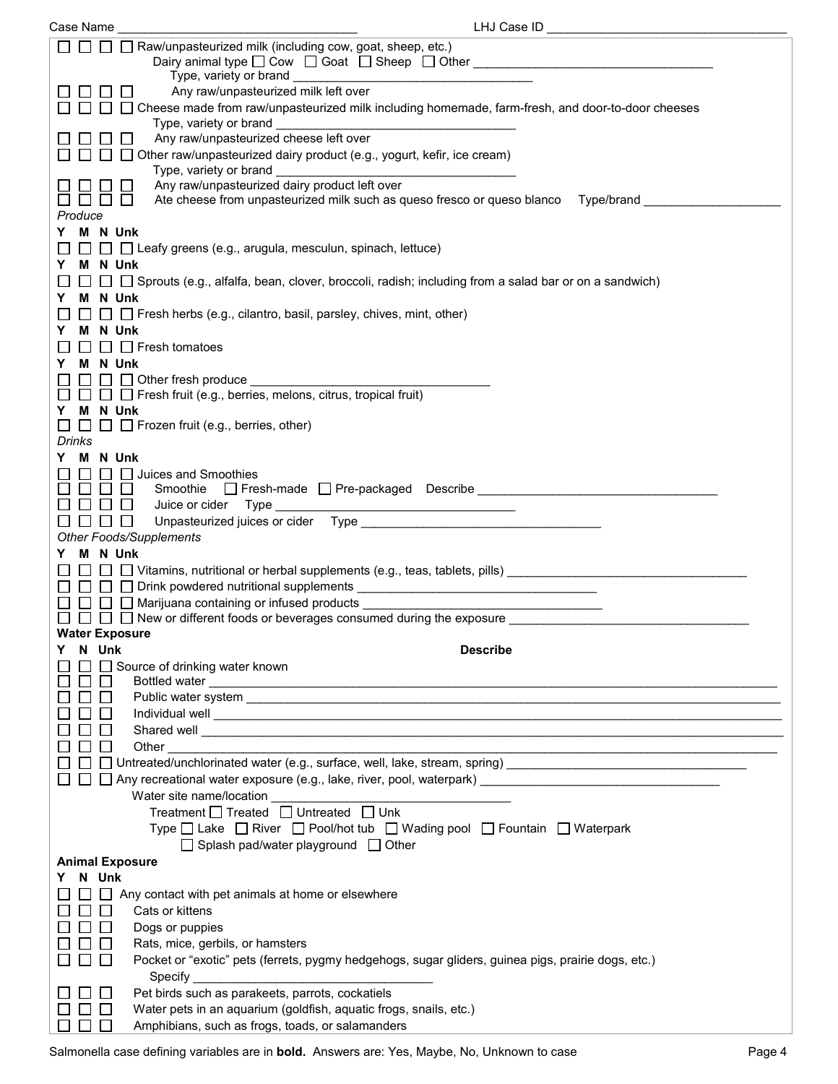| Case Name              | LHJ Case ID                                                                                                                                                                                                                          |
|------------------------|--------------------------------------------------------------------------------------------------------------------------------------------------------------------------------------------------------------------------------------|
|                        | Raw/unpasteurized milk (including cow, goat, sheep, etc.)<br>Type, variety or brand __                                                                                                                                               |
|                        | Any raw/unpasteurized milk left over<br>□ Cheese made from raw/unpasteurized milk including homemade, farm-fresh, and door-to-door cheeses                                                                                           |
|                        | Type, variety or brand<br><u> 1989 - Johann Barbara, martin amerikan basar dan bagi dan bagi dan bagi dalam bagi dalam bagi dan bagi dan ba</u><br>Any raw/unpasteurized cheese left over                                            |
|                        | □ Other raw/unpasteurized dairy product (e.g., yogurt, kefir, ice cream)<br>Type, variety or brand                                                                                                                                   |
| $\perp$                | Any raw/unpasteurized dairy product left over<br>Ate cheese from unpasteurized milk such as queso fresco or queso blanco  Type/brand                                                                                                 |
| Produce                |                                                                                                                                                                                                                                      |
|                        |                                                                                                                                                                                                                                      |
| M N Unk<br>Y.          |                                                                                                                                                                                                                                      |
| M N Unk<br>Y.          | $\Box$ Leafy greens (e.g., arugula, mesculun, spinach, lettuce)                                                                                                                                                                      |
|                        | □ Sprouts (e.g., alfalfa, bean, clover, broccoli, radish; including from a salad bar or on a sandwich)                                                                                                                               |
| M N Unk<br>Y.          |                                                                                                                                                                                                                                      |
|                        | $\Box$ Fresh herbs (e.g., cilantro, basil, parsley, chives, mint, other)                                                                                                                                                             |
| M N Unk<br>Y.          |                                                                                                                                                                                                                                      |
|                        | $\Box$ $\Box$ Fresh tomatoes                                                                                                                                                                                                         |
| M N Unk<br>Y           |                                                                                                                                                                                                                                      |
|                        | $\Box$ Other fresh produce $\Box$                                                                                                                                                                                                    |
|                        | $\Box$ Fresh fruit (e.g., berries, melons, citrus, tropical fruit)                                                                                                                                                                   |
| M N Unk<br>Y.          |                                                                                                                                                                                                                                      |
| $\perp$                | $\Box$ $\Box$ Frozen fruit (e.g., berries, other)                                                                                                                                                                                    |
| Drinks                 |                                                                                                                                                                                                                                      |
| M N Unk<br>Y.          |                                                                                                                                                                                                                                      |
| $\mathbf{L}$<br>$\Box$ | Juices and Smoothies<br>Smoothie                                                                                                                                                                                                     |
| $\perp$                | Juice or cider Type<br>$\Box$                                                                                                                                                                                                        |
| $\perp$                | $\Box$                                                                                                                                                                                                                               |
|                        | <b>Other Foods/Supplements</b>                                                                                                                                                                                                       |
| M N Unk<br>Y.          |                                                                                                                                                                                                                                      |
| $\Box$                 | $\Box$ $\Box$ Vitamins, nutritional or herbal supplements (e.g., teas, tablets, pills)                                                                                                                                               |
|                        |                                                                                                                                                                                                                                      |
|                        | $\Box$ Marijuana containing or infused products $\Box$                                                                                                                                                                               |
|                        | $\Box$ $\Box$ New or different foods or beverages consumed during the exposure                                                                                                                                                       |
| <b>Water Exposure</b>  |                                                                                                                                                                                                                                      |
| N Unk                  | <b>Describe</b>                                                                                                                                                                                                                      |
|                        | Source of drinking water known                                                                                                                                                                                                       |
|                        |                                                                                                                                                                                                                                      |
|                        |                                                                                                                                                                                                                                      |
|                        | Shared well <b>contract the contract of the contract of the contract of the contract of the contract of the contract of the contract of the contract of the contract of the contract of the contract of the contract of the cont</b> |
|                        | Other                                                                                                                                                                                                                                |
|                        | Untreated/unchlorinated water (e.g., surface, well, lake, stream, spring) [1999] [2009] [2009] [2009] [2009] [                                                                                                                       |
|                        |                                                                                                                                                                                                                                      |
|                        | Water site name/location                                                                                                                                                                                                             |
|                        | Treatment □ Treated □ Untreated □ Unk                                                                                                                                                                                                |
|                        | Type □ Lake □ River □ Pool/hot tub □ Wading pool □ Fountain □ Waterpark                                                                                                                                                              |
|                        | $\Box$ Splash pad/water playground $\Box$ Other                                                                                                                                                                                      |
| <b>Animal Exposure</b> |                                                                                                                                                                                                                                      |
| N Unk<br>Y.            |                                                                                                                                                                                                                                      |
| $\perp$                | Any contact with pet animals at home or elsewhere                                                                                                                                                                                    |
|                        | Cats or kittens                                                                                                                                                                                                                      |
|                        | Dogs or puppies                                                                                                                                                                                                                      |
|                        | Rats, mice, gerbils, or hamsters                                                                                                                                                                                                     |
|                        | Pocket or "exotic" pets (ferrets, pygmy hedgehogs, sugar gliders, guinea pigs, prairie dogs, etc.)                                                                                                                                   |
|                        | Specify<br>Pet birds such as parakeets, parrots, cockatiels                                                                                                                                                                          |
|                        | Water pets in an aquarium (goldfish, aquatic frogs, snails, etc.)                                                                                                                                                                    |
|                        | Amphibians, such as frogs, toads, or salamanders                                                                                                                                                                                     |
|                        |                                                                                                                                                                                                                                      |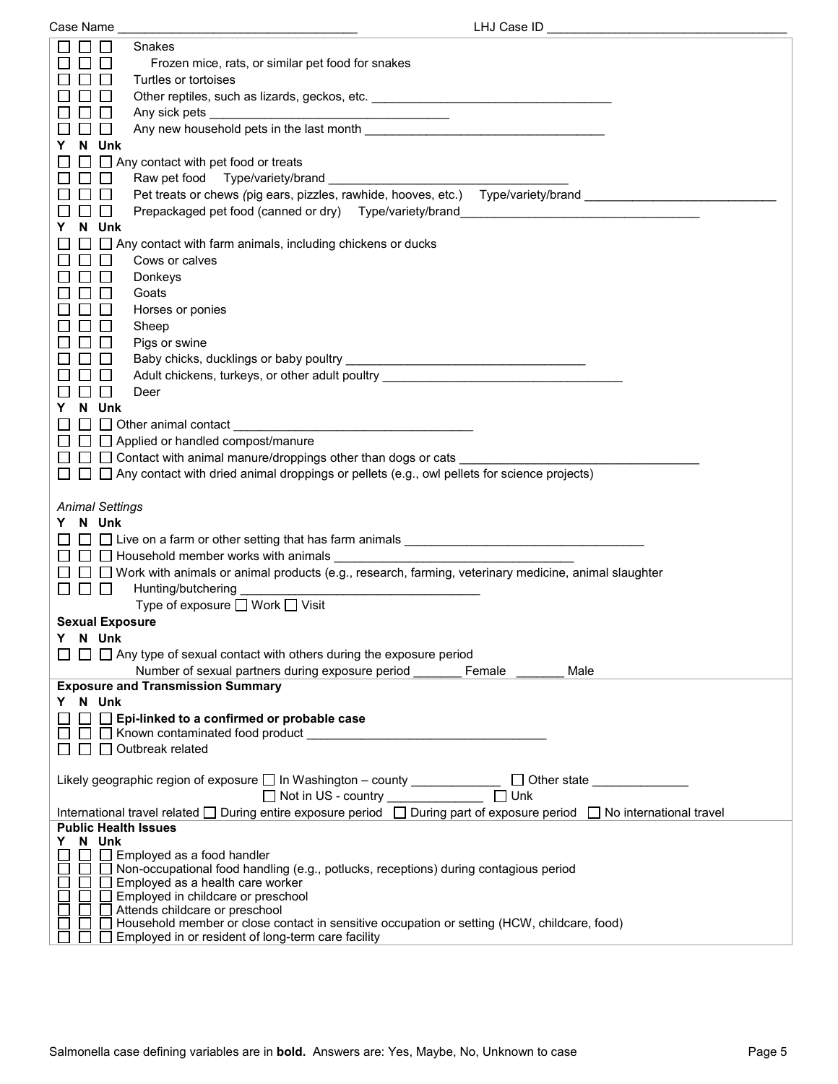| Case Name |
|-----------|

| Case Name                                                                                                                                                                                                                                                                   | LHJ Case ID ________________ |
|-----------------------------------------------------------------------------------------------------------------------------------------------------------------------------------------------------------------------------------------------------------------------------|------------------------------|
| Snakes                                                                                                                                                                                                                                                                      |                              |
| Frozen mice, rats, or similar pet food for snakes                                                                                                                                                                                                                           |                              |
| Turtles or tortoises                                                                                                                                                                                                                                                        |                              |
| Other reptiles, such as lizards, geckos, etc. __________________________________                                                                                                                                                                                            |                              |
|                                                                                                                                                                                                                                                                             |                              |
| Any new household pets in the last month<br>$\perp$                                                                                                                                                                                                                         |                              |
| N Unk<br>Y.                                                                                                                                                                                                                                                                 |                              |
| $\Box$ $\Box$ Any contact with pet food or treats                                                                                                                                                                                                                           |                              |
|                                                                                                                                                                                                                                                                             |                              |
| Pet treats or chews (pig ears, pizzles, rawhide, hooves, etc.) Type/variety/brand                                                                                                                                                                                           |                              |
|                                                                                                                                                                                                                                                                             |                              |
| Prepackaged pet food (canned or dry) Type/variety/brand<br>$\Box$                                                                                                                                                                                                           |                              |
| N Unk<br>Y.                                                                                                                                                                                                                                                                 |                              |
| $\Box$ $\Box$ Any contact with farm animals, including chickens or ducks                                                                                                                                                                                                    |                              |
| Cows or calves                                                                                                                                                                                                                                                              |                              |
| Donkeys                                                                                                                                                                                                                                                                     |                              |
| Goats                                                                                                                                                                                                                                                                       |                              |
| Horses or ponies                                                                                                                                                                                                                                                            |                              |
| Sheep                                                                                                                                                                                                                                                                       |                              |
| Pigs or swine                                                                                                                                                                                                                                                               |                              |
|                                                                                                                                                                                                                                                                             |                              |
| Adult chickens, turkeys, or other adult poultry ________________________________                                                                                                                                                                                            |                              |
| $\perp$<br>Deer                                                                                                                                                                                                                                                             |                              |
| N Unk<br>Y.                                                                                                                                                                                                                                                                 |                              |
| $\Box$ Other animal contact $\Box$ and $\Box$ and $\Box$ and $\Box$ and $\Box$ and $\Box$ and $\Box$ and $\Box$ and $\Box$ and $\Box$ and $\Box$ and $\Box$ and $\Box$ and $\Box$ and $\Box$ and $\Box$ and $\Box$ and $\Box$ and $\Box$ and $\Box$ and $\Box$ and $\Box$ a |                              |
| $\Box$ $\Box$ Applied or handled compost/manure                                                                                                                                                                                                                             |                              |
| $\Box$ $\Box$ Contact with animal manure/droppings other than dogs or cats                                                                                                                                                                                                  |                              |
| $\Box$ $\Box$ Any contact with dried animal droppings or pellets (e.g., owl pellets for science projects)                                                                                                                                                                   |                              |
| <b>Animal Settings</b><br>Y N Unk<br>$\Box$ Live on a farm or other setting that has farm animals $\Box$ Live on a farm or other setting that has farm animals                                                                                                              |                              |
| □ □ Work with animals or animal products (e.g., research, farming, veterinary medicine, animal slaughter                                                                                                                                                                    |                              |
| <u> De la Ba</u><br>Hunting/butchering                                                                                                                                                                                                                                      |                              |
| Type of exposure $\Box$ Work $\Box$ Visit                                                                                                                                                                                                                                   |                              |
| <b>Sexual Exposure</b>                                                                                                                                                                                                                                                      |                              |
| Y N Unk                                                                                                                                                                                                                                                                     |                              |
| $\Box$ Any type of sexual contact with others during the exposure period                                                                                                                                                                                                    |                              |
| Number of sexual partners during exposure period                                                                                                                                                                                                                            | Female<br>Male               |
| <b>Exposure and Transmission Summary</b>                                                                                                                                                                                                                                    |                              |
| Y N Unk                                                                                                                                                                                                                                                                     |                              |
| $\Box$ Epi-linked to a confirmed or probable case                                                                                                                                                                                                                           |                              |
|                                                                                                                                                                                                                                                                             |                              |
| $\Box$ Outbreak related                                                                                                                                                                                                                                                     |                              |
| Likely geographic region of exposure □ In Washington - county ____________ □ Other state __________                                                                                                                                                                         |                              |
| International travel related □ During entire exposure period □ During part of exposure period □ No international travel                                                                                                                                                     |                              |
| <b>Public Health Issues</b>                                                                                                                                                                                                                                                 |                              |
| N Unk<br>Y                                                                                                                                                                                                                                                                  |                              |
| $\Box$ Employed as a food handler                                                                                                                                                                                                                                           |                              |
| □ Non-occupational food handling (e.g., potlucks, receptions) during contagious period                                                                                                                                                                                      |                              |
| Employed as a health care worker                                                                                                                                                                                                                                            |                              |
| Employed in childcare or preschool<br>Attends childcare or preschool                                                                                                                                                                                                        |                              |
| Household member or close contact in sensitive occupation or setting (HCW, childcare, food)                                                                                                                                                                                 |                              |
| Employed in or resident of long-term care facility                                                                                                                                                                                                                          |                              |